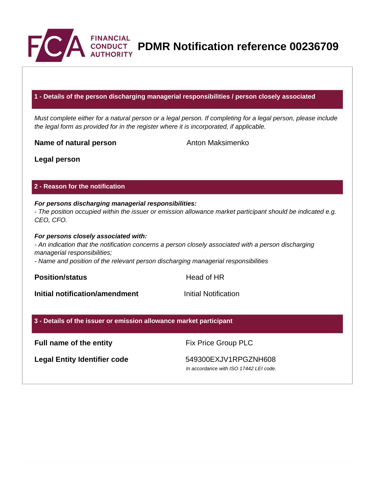

**PDMR Notification reference 00236709**

#### **1 - Details of the person discharging managerial responsibilities / person closely associated**

Must complete either for a natural person or a legal person. If completing for a legal person, please include the legal form as provided for in the register where it is incorporated, if applicable.

**Name of natural person** Anton Maksimenko

**Legal person**

#### **2 - Reason for the notification**

# **For persons discharging managerial responsibilities:**

- The position occupied within the issuer or emission allowance market participant should be indicated e.g. CEO, CFO.

#### **For persons closely associated with:**

- An indication that the notification concerns a person closely associated with a person discharging managerial responsibilities;

- Name and position of the relevant person discharging managerial responsibilities

**Position/status Head of HR** 

**Initial notification/amendment Initial Notification** 

#### **3 - Details of the issuer or emission allowance market participant**

### **Full name of the entity** Fix Price Group PLC

Legal Entity Identifier code 549300EXJV1RPGZNH608

In accordance with ISO 17442 LEI code.